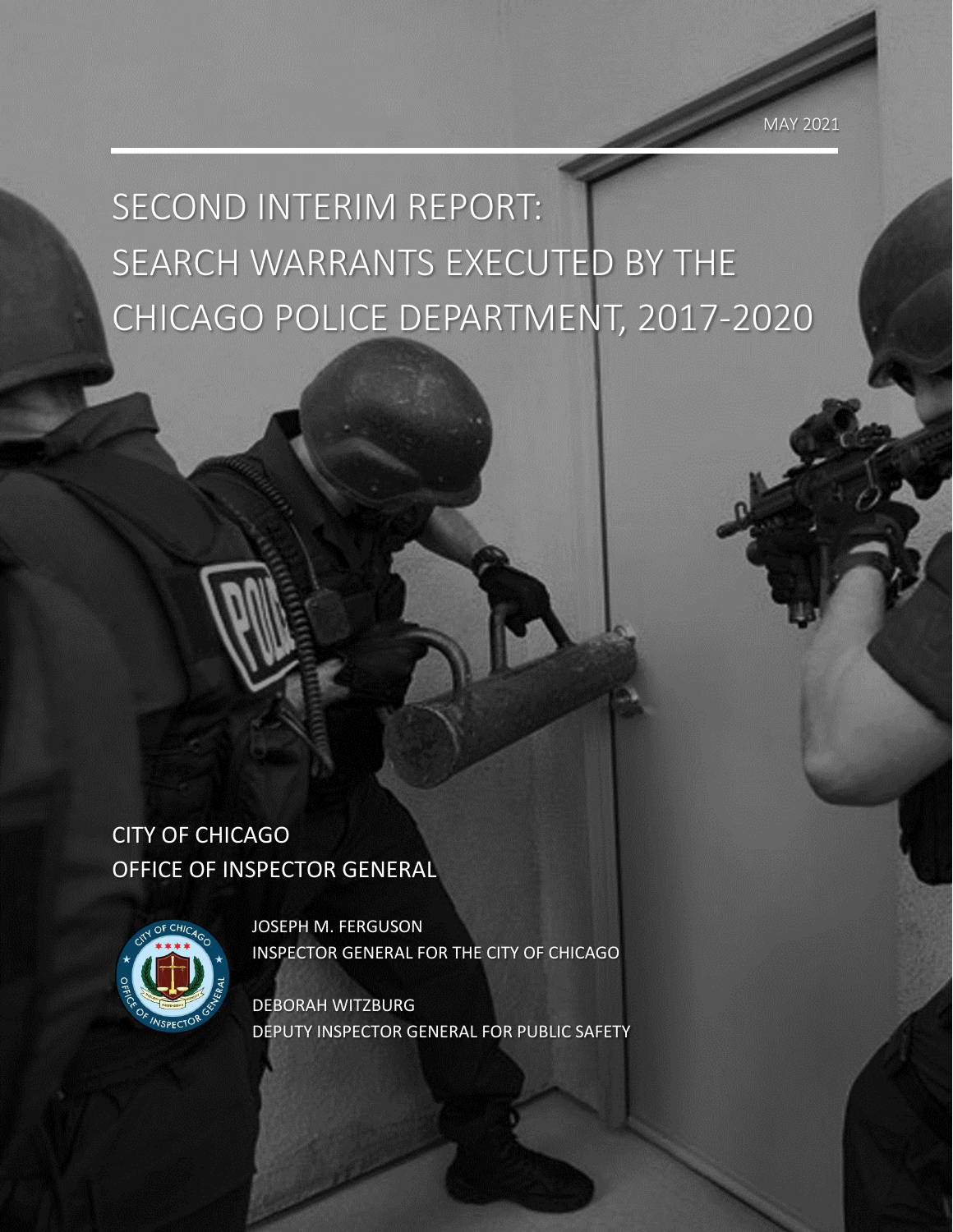# SECOND INTERIM REPORT: SEARCH WARRANTS EXECUTED BY THE CHICAGO POLICE DEPARTMENT, 2017-2020

## CITY OF CHICAGO OFFICE OF INSPECTOR GENERAL



JOSEPH M. FERGUSON INSPECTOR GENERAL FOR THE CITY OF CHICAGO

DEBORAH WITZBURG DEPUTY INSPECTOR GENERAL FOR PUBLIC SAFETY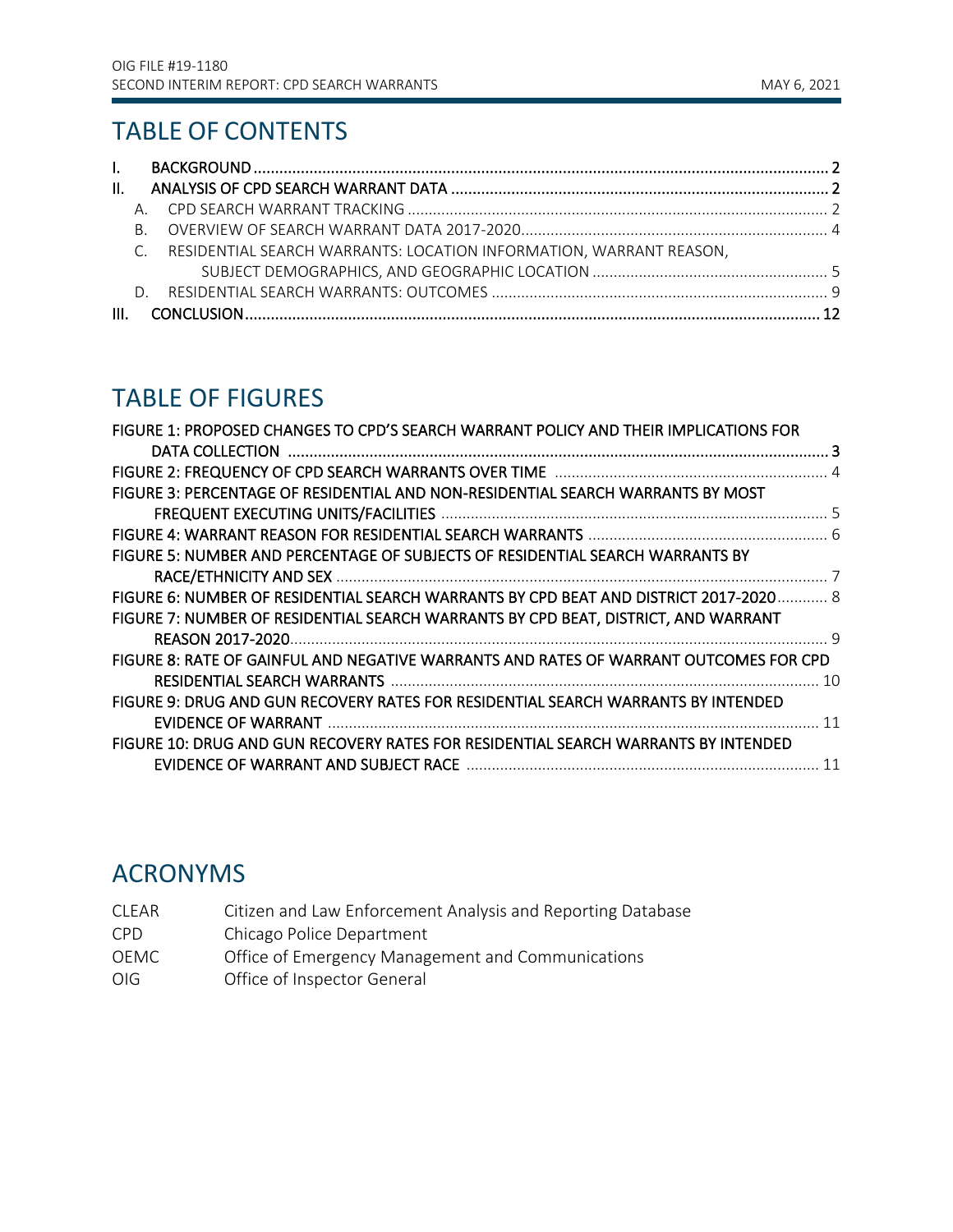## TABLE OF CONTENTS

| II. |     |                                                                       |  |
|-----|-----|-----------------------------------------------------------------------|--|
|     |     |                                                                       |  |
|     | R — |                                                                       |  |
|     |     | C. RESIDENTIAL SEARCH WARRANTS: LOCATION INFORMATION, WARRANT REASON, |  |
|     |     |                                                                       |  |
|     |     |                                                                       |  |
|     |     |                                                                       |  |

## TABLE OF FIGURES

| FIGURE 1: PROPOSED CHANGES TO CPD'S SEARCH WARRANT POLICY AND THEIR IMPLICATIONS FOR  |  |
|---------------------------------------------------------------------------------------|--|
|                                                                                       |  |
|                                                                                       |  |
| FIGURE 3: PERCENTAGE OF RESIDENTIAL AND NON-RESIDENTIAL SEARCH WARRANTS BY MOST       |  |
|                                                                                       |  |
|                                                                                       |  |
| FIGURE 5: NUMBER AND PERCENTAGE OF SUBJECTS OF RESIDENTIAL SEARCH WARRANTS BY         |  |
|                                                                                       |  |
| FIGURE 6: NUMBER OF RESIDENTIAL SEARCH WARRANTS BY CPD BEAT AND DISTRICT 2017-2020 8  |  |
| FIGURE 7: NUMBER OF RESIDENTIAL SEARCH WARRANTS BY CPD BEAT, DISTRICT, AND WARRANT    |  |
|                                                                                       |  |
| FIGURE 8: RATE OF GAINFUL AND NEGATIVE WARRANTS AND RATES OF WARRANT OUTCOMES FOR CPD |  |
|                                                                                       |  |
| FIGURE 9: DRUG AND GUN RECOVERY RATES FOR RESIDENTIAL SEARCH WARRANTS BY INTENDED     |  |
|                                                                                       |  |
| FIGURE 10: DRUG AND GUN RECOVERY RATES FOR RESIDENTIAL SEARCH WARRANTS BY INTENDED    |  |
|                                                                                       |  |
|                                                                                       |  |

## ACRONYMS

- CLEAR Citizen and Law Enforcement Analysis and Reporting Database
- CPD Chicago Police Department
- OEMC Office of Emergency Management and Communications
- OIG Office of Inspector General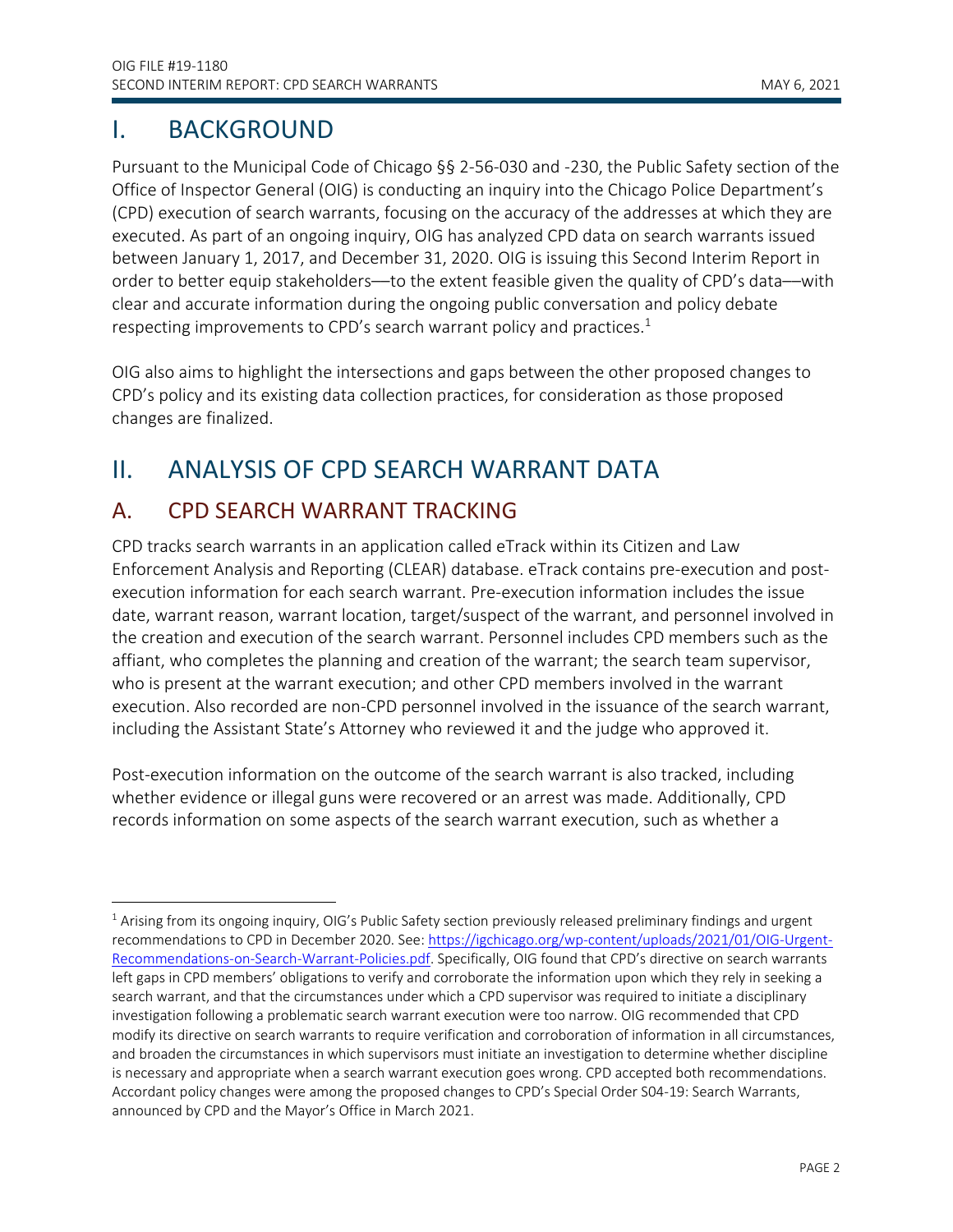## <span id="page-2-0"></span>I. BACKGROUND

Pursuant to the Municipal Code of Chicago §§ 2-56-030 and -230, the Public Safety section of the Office of Inspector General (OIG) is conducting an inquiry into the Chicago Police Department's (CPD) execution of search warrants, focusing on the accuracy of the addresses at which they are executed. As part of an ongoing inquiry, OIG has analyzed CPD data on search warrants issued between January 1, 2017, and December 31, 2020. OIG is issuing this Second Interim Report in order to better equip stakeholders—to the extent feasible given the quality of CPD's data—with clear and accurate information during the ongoing public conversation and policy debate respecting improvements to CPD's search warrant policy and practices.<sup>1</sup>

OIG also aims to highlight the intersections and gaps between the other proposed changes to CPD's policy and its existing data collection practices, for consideration as those proposed changes are finalized.

## <span id="page-2-1"></span>II. ANALYSIS OF CPD SEARCH WARRANT DATA

## <span id="page-2-2"></span>A. CPD SEARCH WARRANT TRACKING

CPD tracks search warrants in an application called eTrack within its Citizen and Law Enforcement Analysis and Reporting (CLEAR) database. eTrack contains pre-execution and postexecution information for each search warrant. Pre-execution information includes the issue date, warrant reason, warrant location, target/suspect of the warrant, and personnel involved in the creation and execution of the search warrant. Personnel includes CPD members such as the affiant, who completes the planning and creation of the warrant; the search team supervisor, who is present at the warrant execution; and other CPD members involved in the warrant execution. Also recorded are non-CPD personnel involved in the issuance of the search warrant, including the Assistant State's Attorney who reviewed it and the judge who approved it.

Post-execution information on the outcome of the search warrant is also tracked, including whether evidence or illegal guns were recovered or an arrest was made. Additionally, CPD records information on some aspects of the search warrant execution, such as whether a

<sup>&</sup>lt;sup>1</sup> Arising from its ongoing inquiry, OIG's Public Safety section previously released preliminary findings and urgent recommendations to CPD in December 2020. See: [https://igchicago.org/wp-content/uploads/2021/01/OIG-Urgent-](https://igchicago.org/wp-content/uploads/2021/01/OIG-Urgent-Recommendations-on-Search-Warrant-Policies.pdf)[Recommendations-on-Search-Warrant-Policies.pdf.](https://igchicago.org/wp-content/uploads/2021/01/OIG-Urgent-Recommendations-on-Search-Warrant-Policies.pdf) Specifically, OIG found that CPD's directive on search warrants left gaps in CPD members' obligations to verify and corroborate the information upon which they rely in seeking a search warrant, and that the circumstances under which a CPD supervisor was required to initiate a disciplinary investigation following a problematic search warrant execution were too narrow. OIG recommended that CPD modify its directive on search warrants to require verification and corroboration of information in all circumstances, and broaden the circumstances in which supervisors must initiate an investigation to determine whether discipline is necessary and appropriate when a search warrant execution goes wrong. CPD accepted both recommendations. Accordant policy changes were among the proposed changes to CPD's Special Order S04-19: Search Warrants, announced by CPD and the Mayor's Office in March 2021.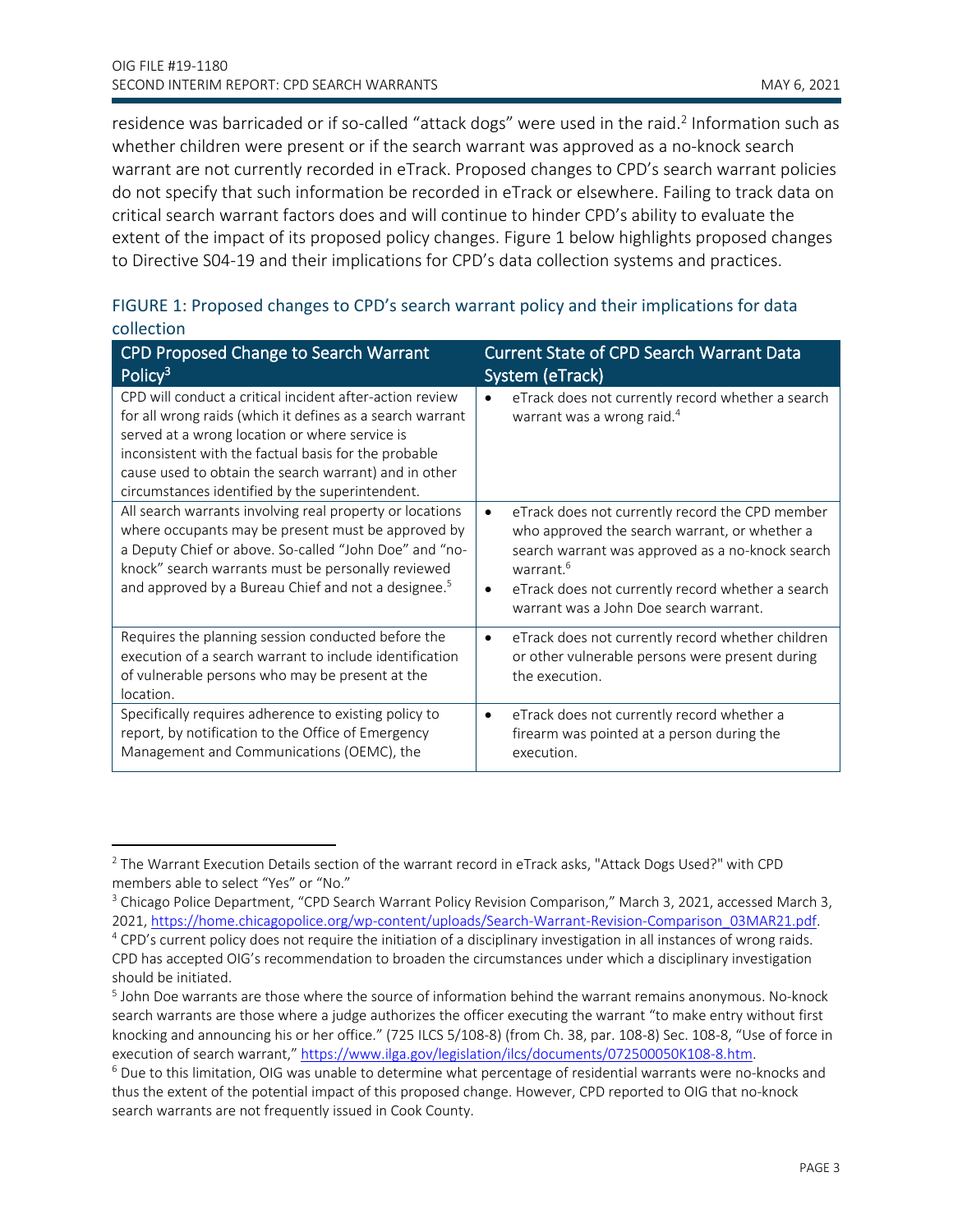residence was barricaded or if so-called "attack dogs" were used in the raid.<sup>2</sup> Information such as whether children were present or if the search warrant was approved as a no-knock search warrant are not currently recorded in eTrack. Proposed changes to CPD's search warrant policies do not specify that such information be recorded in eTrack or elsewhere. Failing to track data on critical search warrant factors does and will continue to hinder CPD's ability to evaluate the extent of the impact of its proposed policy changes. Figure 1 below highlights proposed changes to Directive S04-19 and their implications for CPD's data collection systems and practices.

#### FIGURE 1: Proposed changes to CPD's search warrant policy and their implications for data collection

| CPD Proposed Change to Search Warrant<br>Policy <sup>3</sup>                                                                                                                                                                                                                                                                                | <b>Current State of CPD Search Warrant Data</b><br>System (eTrack)                                                                                                                                                                                                                                     |
|---------------------------------------------------------------------------------------------------------------------------------------------------------------------------------------------------------------------------------------------------------------------------------------------------------------------------------------------|--------------------------------------------------------------------------------------------------------------------------------------------------------------------------------------------------------------------------------------------------------------------------------------------------------|
| CPD will conduct a critical incident after-action review<br>for all wrong raids (which it defines as a search warrant<br>served at a wrong location or where service is<br>inconsistent with the factual basis for the probable<br>cause used to obtain the search warrant) and in other<br>circumstances identified by the superintendent. | eTrack does not currently record whether a search<br>warrant was a wrong raid. <sup>4</sup>                                                                                                                                                                                                            |
| All search warrants involving real property or locations<br>where occupants may be present must be approved by<br>a Deputy Chief or above. So-called "John Doe" and "no-<br>knock" search warrants must be personally reviewed<br>and approved by a Bureau Chief and not a designee. <sup>5</sup>                                           | eTrack does not currently record the CPD member<br>$\bullet$<br>who approved the search warrant, or whether a<br>search warrant was approved as a no-knock search<br>warrant. <sup>6</sup><br>eTrack does not currently record whether a search<br>$\bullet$<br>warrant was a John Doe search warrant. |
| Requires the planning session conducted before the<br>execution of a search warrant to include identification<br>of vulnerable persons who may be present at the<br>location.                                                                                                                                                               | eTrack does not currently record whether children<br>$\bullet$<br>or other vulnerable persons were present during<br>the execution.                                                                                                                                                                    |
| Specifically requires adherence to existing policy to<br>report, by notification to the Office of Emergency<br>Management and Communications (OEMC), the                                                                                                                                                                                    | eTrack does not currently record whether a<br>$\bullet$<br>firearm was pointed at a person during the<br>execution.                                                                                                                                                                                    |

<sup>2</sup> The Warrant Execution Details section of the warrant record in eTrack asks, "Attack Dogs Used?" with CPD members able to select "Yes" or "No."

<sup>3</sup> Chicago Police Department, "CPD Search Warrant Policy Revision Comparison," March 3, 2021, accessed March 3, 2021, [https://home.chicagopolice.org/wp-content/uploads/Search-Warrant-Revision-Comparison\\_03MAR21.pdf.](https://home.chicagopolice.org/wp-content/uploads/Search-Warrant-Revision-Comparison_03MAR21.pdf)

<sup>4</sup> CPD's current policy does not require the initiation of a disciplinary investigation in all instances of wrong raids. CPD has accepted OIG's recommendation to broaden the circumstances under which a disciplinary investigation should be initiated.

<sup>&</sup>lt;sup>5</sup> John Doe warrants are those where the source of information behind the warrant remains anonymous. No-knock search warrants are those where a judge authorizes the officer executing the warrant "to make entry without first knocking and announcing his or her office." (725 ILCS 5/108-8) (from Ch. 38, par. 108-8) Sec. 108-8, "Use of force in execution of search warrant," [https://www.ilga.gov/legislation/ilcs/documents/072500050K108-8.htm.](https://www.ilga.gov/legislation/ilcs/documents/072500050K108-8.htm)

<sup>6</sup> Due to this limitation, OIG was unable to determine what percentage of residential warrants were no-knocks and thus the extent of the potential impact of this proposed change. However, CPD reported to OIG that no-knock search warrants are not frequently issued in Cook County.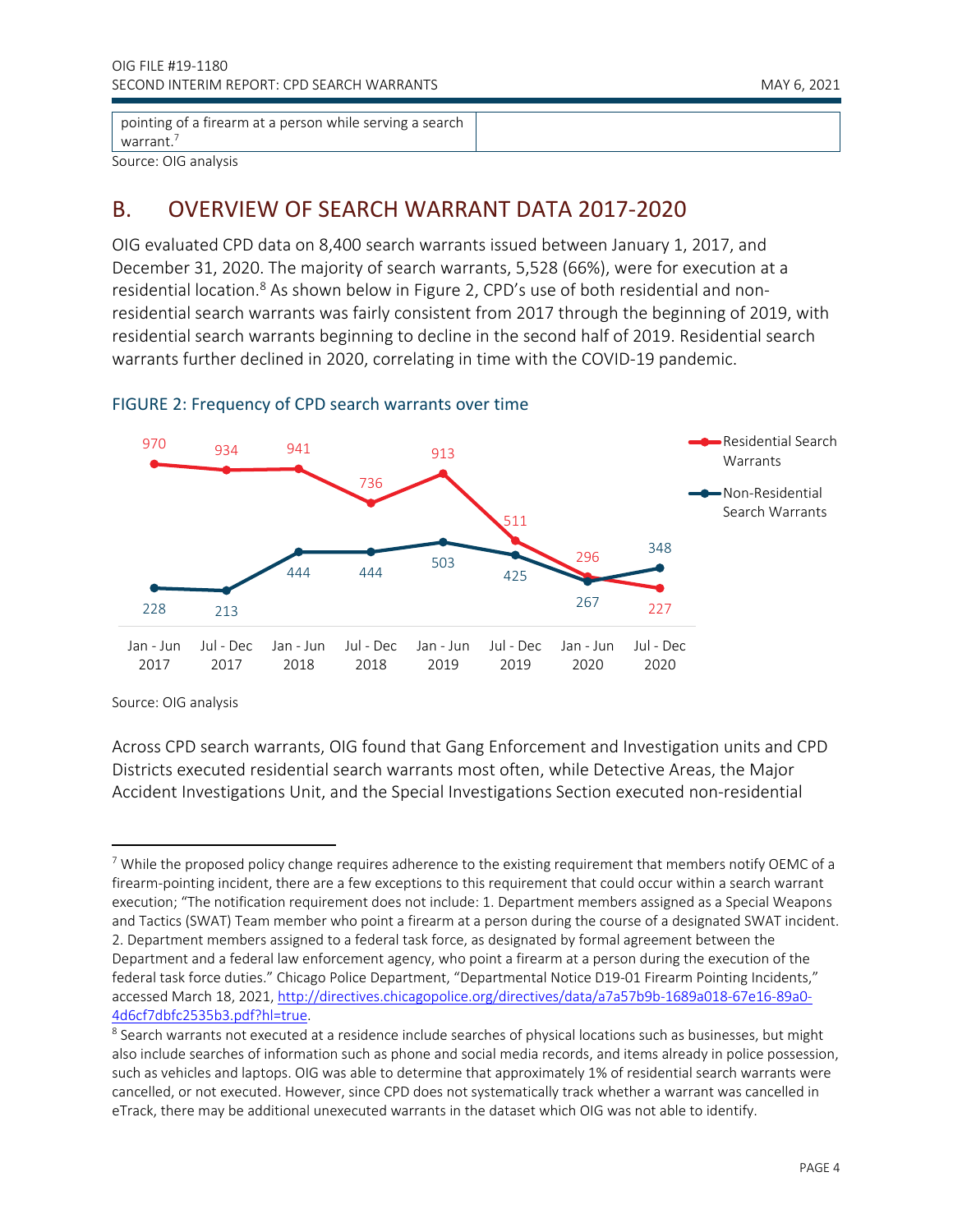pointing of a firearm at a person while serving a search warrant.<sup>7</sup>

Source: OIG analysis

### <span id="page-4-0"></span>B. OVERVIEW OF SEARCH WARRANT DATA 2017-2020

OIG evaluated CPD data on 8,400 search warrants issued between January 1, 2017, and December 31, 2020. The majority of search warrants, 5,528 (66%), were for execution at a residential location.<sup>8</sup> As shown below in Figure 2, CPD's use of both residential and nonresidential search warrants was fairly consistent from 2017 through the beginning of 2019, with residential search warrants beginning to decline in the second half of 2019. Residential search warrants further declined in 2020, correlating in time with the COVID-19 pandemic.



#### FIGURE 2: Frequency of CPD search warrants over time

Source: OIG analysis

Across CPD search warrants, OIG found that Gang Enforcement and Investigation units and CPD Districts executed residential search warrants most often, while Detective Areas, the Major Accident Investigations Unit, and the Special Investigations Section executed non-residential

<sup>&</sup>lt;sup>7</sup> While the proposed policy change requires adherence to the existing requirement that members notify OEMC of a firearm-pointing incident, there are a few exceptions to this requirement that could occur within a search warrant execution; "The notification requirement does not include: 1. Department members assigned as a Special Weapons and Tactics (SWAT) Team member who point a firearm at a person during the course of a designated SWAT incident. 2. Department members assigned to a federal task force, as designated by formal agreement between the Department and a federal law enforcement agency, who point a firearm at a person during the execution of the federal task force duties." Chicago Police Department, "Departmental Notice D19-01 Firearm Pointing Incidents," accessed March 18, 2021, http://directives.chicagopolice.org/directives/data/a7a57b9b-1689a018-67e16-89a0- 4d6cf7dbfc2535b3.pdf?hl=true.

 $^8$  Search warrants not executed at a residence include searches of physical locations such as businesses, but might also include searches of information such as phone and social media records, and items already in police possession, such as vehicles and laptops. OIG was able to determine that approximately 1% of residential search warrants were cancelled, or not executed. However, since CPD does not systematically track whether a warrant was cancelled in eTrack, there may be additional unexecuted warrants in the dataset which OIG was not able to identify.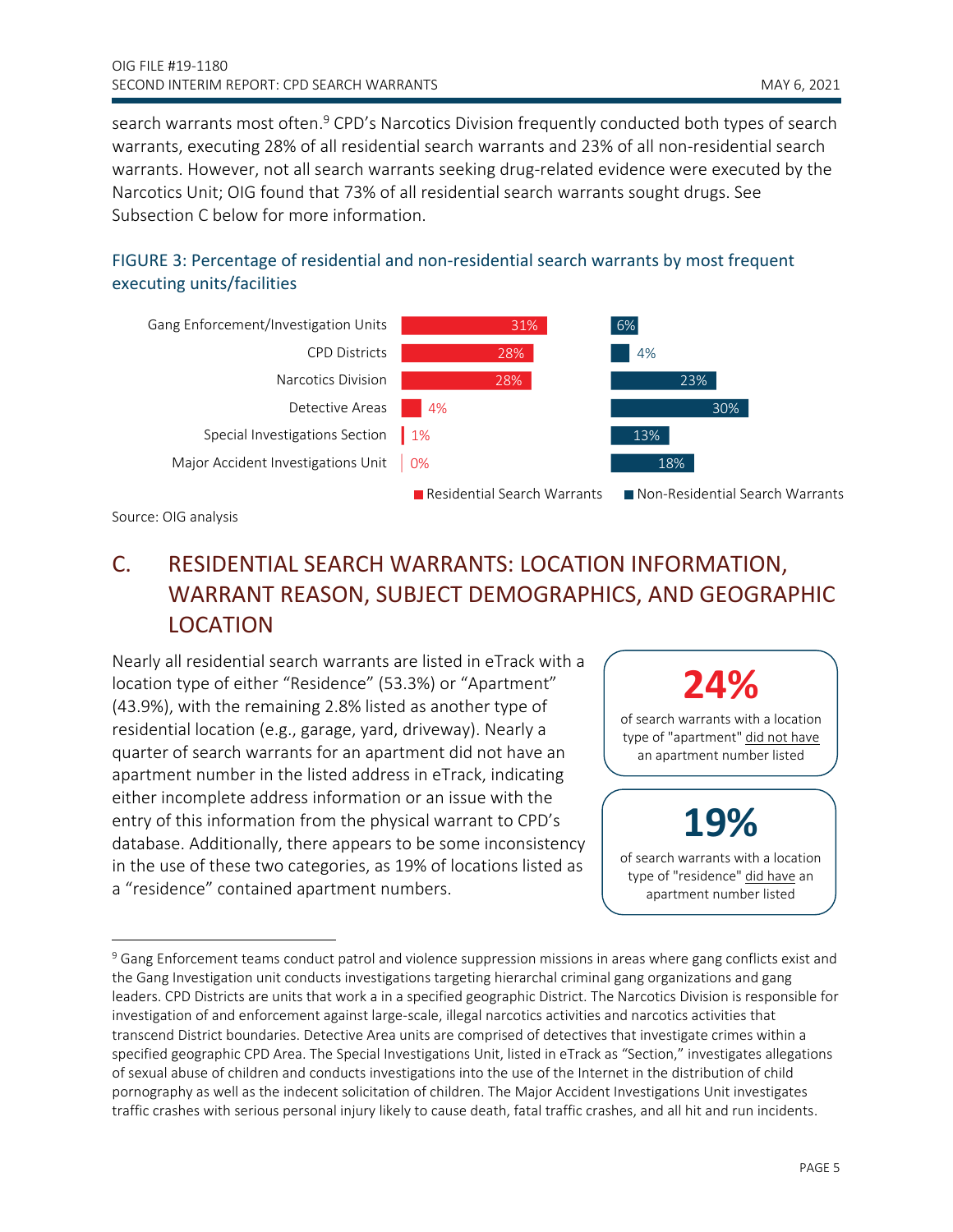search warrants most often.<sup>9</sup> CPD's Narcotics Division frequently conducted both types of search warrants, executing 28% of all residential search warrants and 23% of all non-residential search warrants. However, not all search warrants seeking drug-related evidence were executed by the Narcotics Unit; OIG found that 73% of all residential search warrants sought drugs. See Subsection C below for more information.





Source: OIG analysis

## <span id="page-5-0"></span>C. RESIDENTIAL SEARCH WARRANTS: LOCATION INFORMATION, WARRANT REASON, SUBJECT DEMOGRAPHICS, AND GEOGRAPHIC LOCATION

Nearly all residential search warrants are listed in eTrack with a location type of either "Residence" (53.3%) or "Apartment" (43.9%), with the remaining 2.8% listed as another type of residential location (e.g., garage, yard, driveway). Nearly a quarter of search warrants for an apartment did not have an apartment number in the listed address in eTrack, indicating either incomplete address information or an issue with the entry of this information from the physical warrant to CPD's database. Additionally, there appears to be some inconsistency in the use of these two categories, as 19% of locations listed as a "residence" contained apartment numbers.

## **24%**

of search warrants with a location type of "apartment" did not have an apartment number listed

## **19%**

of search warrants with a location type of "residence" did have an apartment number listed

<sup>&</sup>lt;sup>9</sup> Gang Enforcement teams conduct patrol and violence suppression missions in areas where gang conflicts exist and the Gang Investigation unit conducts investigations targeting hierarchal criminal gang organizations and gang leaders. CPD Districts are units that work a in a specified geographic District. The Narcotics Division is responsible for investigation of and enforcement against large-scale, illegal narcotics activities and narcotics activities that transcend District boundaries. Detective Area units are comprised of detectives that investigate crimes within a specified geographic CPD Area. The Special Investigations Unit, listed in eTrack as "Section," investigates allegations of sexual abuse of children and conducts investigations into the use of the Internet in the distribution of child pornography as well as the indecent solicitation of children. The Major Accident Investigations Unit investigates traffic crashes with serious personal injury likely to cause death, fatal traffic crashes, and all hit and run incidents.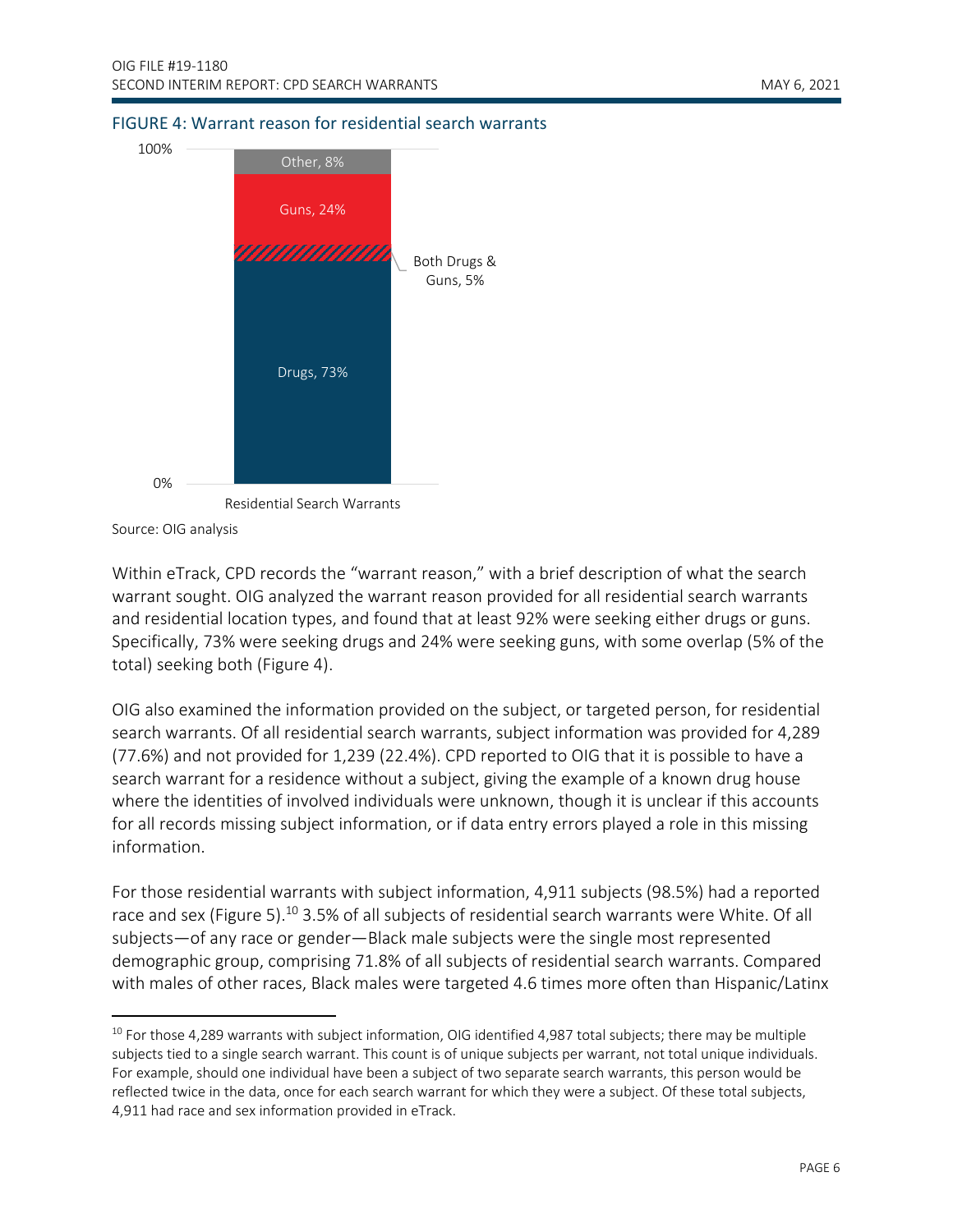#### FIGURE 4: Warrant reason for residential search warrants



Source: OIG analysis

Within eTrack, CPD records the "warrant reason," with a brief description of what the search warrant sought. OIG analyzed the warrant reason provided for all residential search warrants and residential location types, and found that at least 92% were seeking either drugs or guns. Specifically, 73% were seeking drugs and 24% were seeking guns, with some overlap (5% of the total) seeking both (Figure 4).

OIG also examined the information provided on the subject, or targeted person, for residential search warrants. Of all residential search warrants, subject information was provided for 4,289 (77.6%) and not provided for 1,239 (22.4%). CPD reported to OIG that it is possible to have a search warrant for a residence without a subject, giving the example of a known drug house where the identities of involved individuals were unknown, though it is unclear if this accounts for all records missing subject information, or if data entry errors played a role in this missing information.

For those residential warrants with subject information, 4,911 subjects (98.5%) had a reported race and sex (Figure 5).<sup>10</sup> 3.5% of all subjects of residential search warrants were White. Of all subjects—of any race or gender—Black male subjects were the single most represented demographic group, comprising 71.8% of all subjects of residential search warrants. Compared with males of other races, Black males were targeted 4.6 times more often than Hispanic/Latinx

 $10$  For those 4,289 warrants with subject information, OIG identified 4,987 total subjects; there may be multiple subjects tied to a single search warrant. This count is of unique subjects per warrant, not total unique individuals. For example, should one individual have been a subject of two separate search warrants, this person would be reflected twice in the data, once for each search warrant for which they were a subject. Of these total subjects, 4,911 had race and sex information provided in eTrack.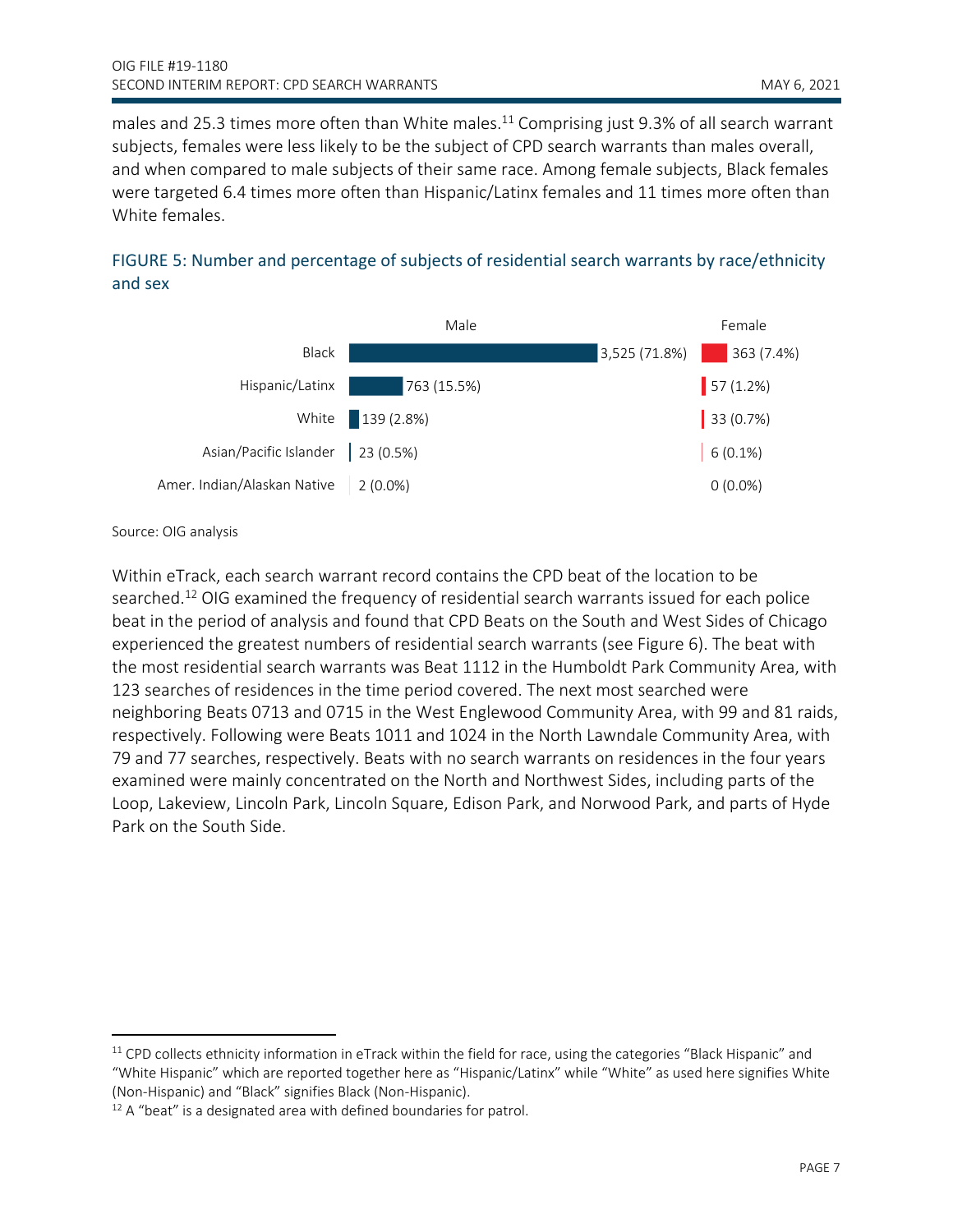males and 25.3 times more often than White males.<sup>11</sup> Comprising just 9.3% of all search warrant subjects, females were less likely to be the subject of CPD search warrants than males overall, and when compared to male subjects of their same race. Among female subjects, Black females were targeted 6.4 times more often than Hispanic/Latinx females and 11 times more often than White females.





Source: OIG analysis

Within eTrack, each search warrant record contains the CPD beat of the location to be searched.<sup>12</sup> OIG examined the frequency of residential search warrants issued for each police beat in the period of analysis and found that CPD Beats on the South and West Sides of Chicago experienced the greatest numbers of residential search warrants (see Figure 6). The beat with the most residential search warrants was Beat 1112 in the Humboldt Park Community Area, with 123 searches of residences in the time period covered. The next most searched were neighboring Beats 0713 and 0715 in the West Englewood Community Area, with 99 and 81 raids, respectively. Following were Beats 1011 and 1024 in the North Lawndale Community Area, with 79 and 77 searches, respectively. Beats with no search warrants on residences in the four years examined were mainly concentrated on the North and Northwest Sides, including parts of the Loop, Lakeview, Lincoln Park, Lincoln Square, Edison Park, and Norwood Park, and parts of Hyde Park on the South Side.

 $11$  CPD collects ethnicity information in eTrack within the field for race, using the categories "Black Hispanic" and "White Hispanic" which are reported together here as "Hispanic/Latinx" while "White" as used here signifies White (Non-Hispanic) and "Black" signifies Black (Non-Hispanic).

 $12$  A "beat" is a designated area with defined boundaries for patrol.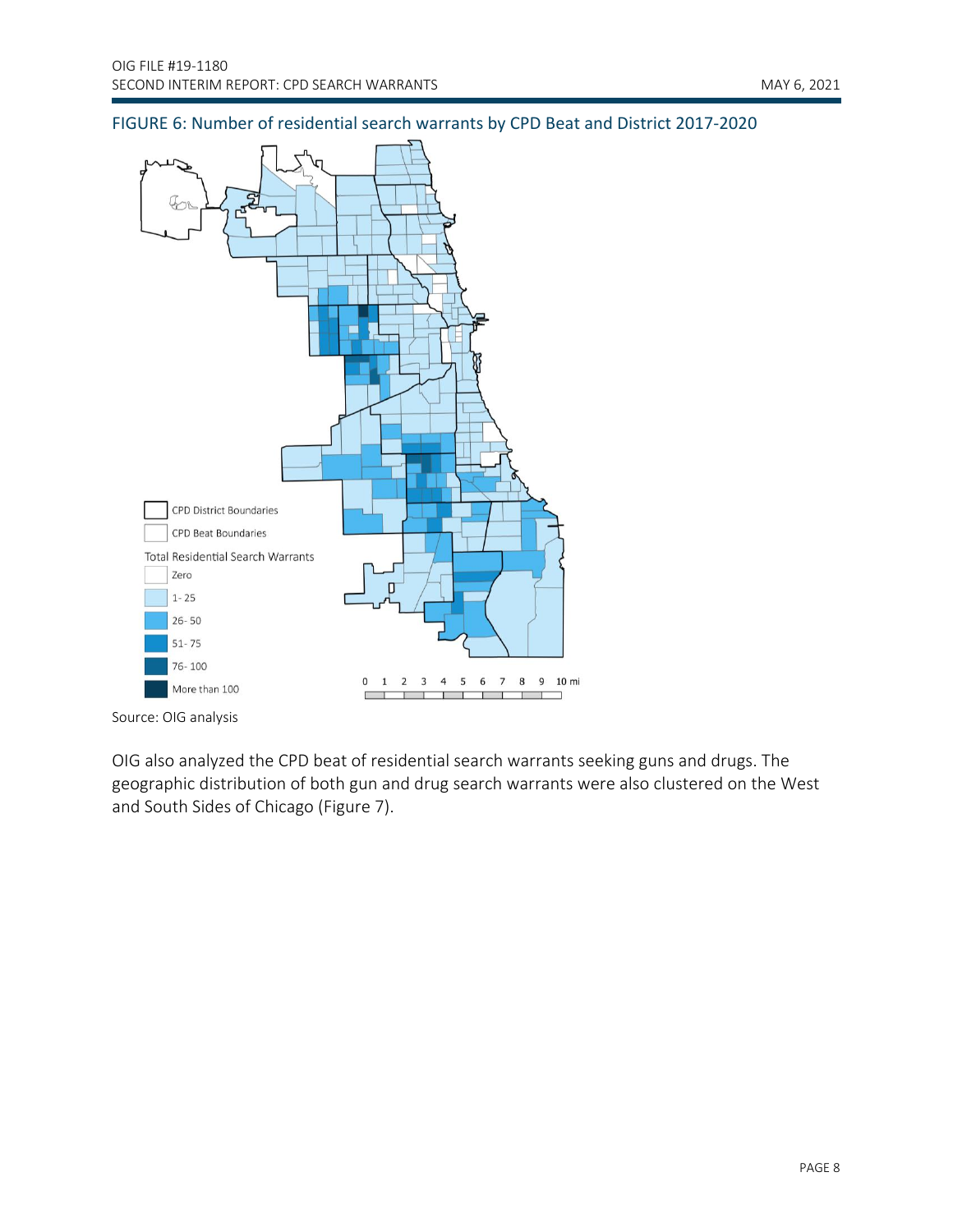

#### FIGURE 6: Number of residential search warrants by CPD Beat and District 2017-2020



OIG also analyzed the CPD beat of residential search warrants seeking guns and drugs. The geographic distribution of both gun and drug search warrants were also clustered on the West and South Sides of Chicago (Figure 7).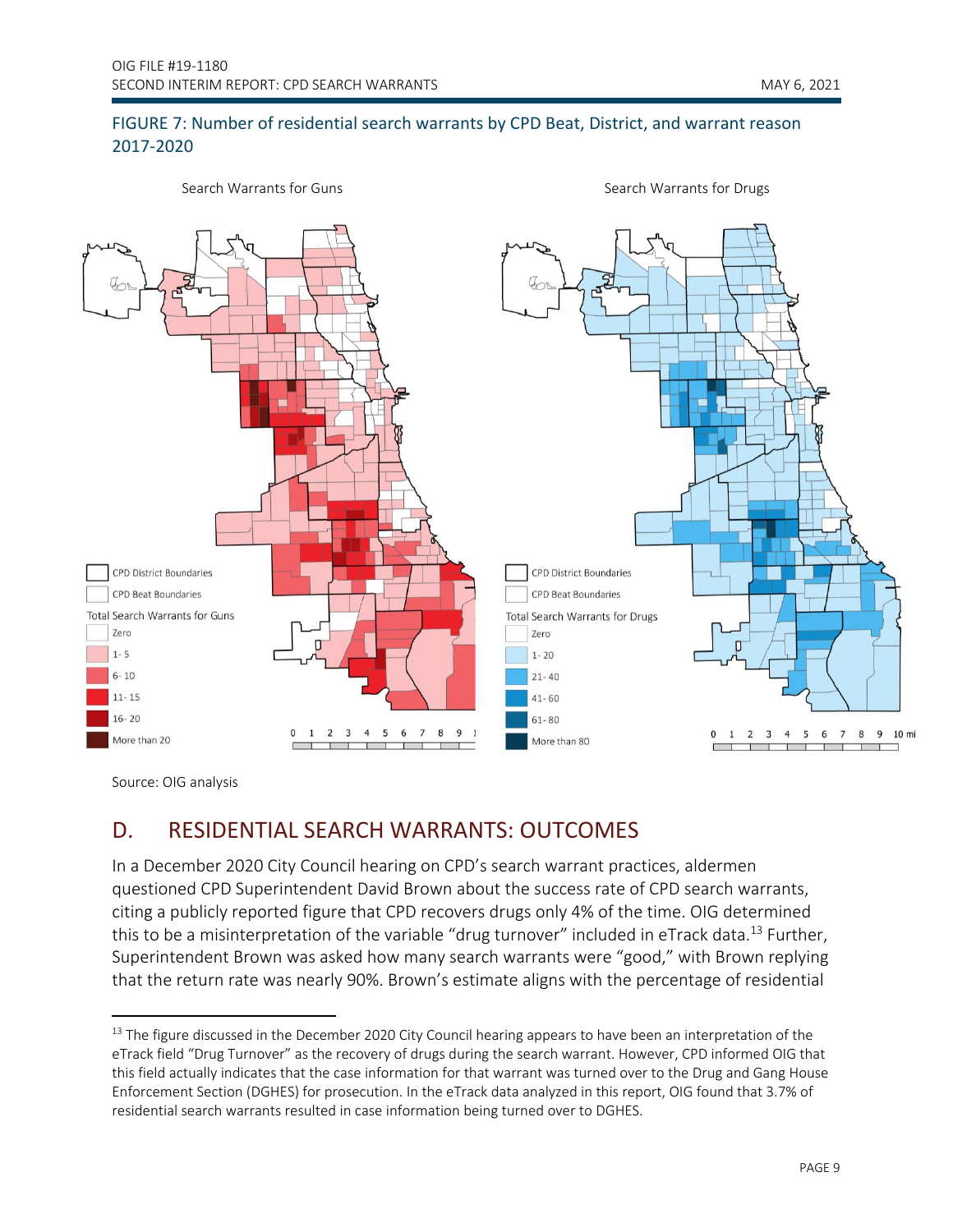#### FIGURE 7: Number of residential search warrants by CPD Beat, District, and warrant reason 2017-2020



Source: OIG analysis

### <span id="page-9-0"></span>D. RESIDENTIAL SEARCH WARRANTS: OUTCOMES

In a December 2020 City Council hearing on CPD's search warrant practices, aldermen questioned CPD Superintendent David Brown about the success rate of CPD search warrants, citing a publicly reported figure that CPD recovers drugs only 4% of the time. OIG determined this to be a misinterpretation of the variable "drug turnover" included in eTrack data.<sup>13</sup> Further, Superintendent Brown was asked how many search warrants were "good," with Brown replying that the return rate was nearly 90%. Brown's estimate aligns with the percentage of residential

<sup>&</sup>lt;sup>13</sup> The figure discussed in the December 2020 City Council hearing appears to have been an interpretation of the eTrack field "Drug Turnover" as the recovery of drugs during the search warrant. However, CPD informed OIG that this field actually indicates that the case information for that warrant was turned over to the Drug and Gang House Enforcement Section (DGHES) for prosecution. In the eTrack data analyzed in this report, OIG found that 3.7% of residential search warrants resulted in case information being turned over to DGHES.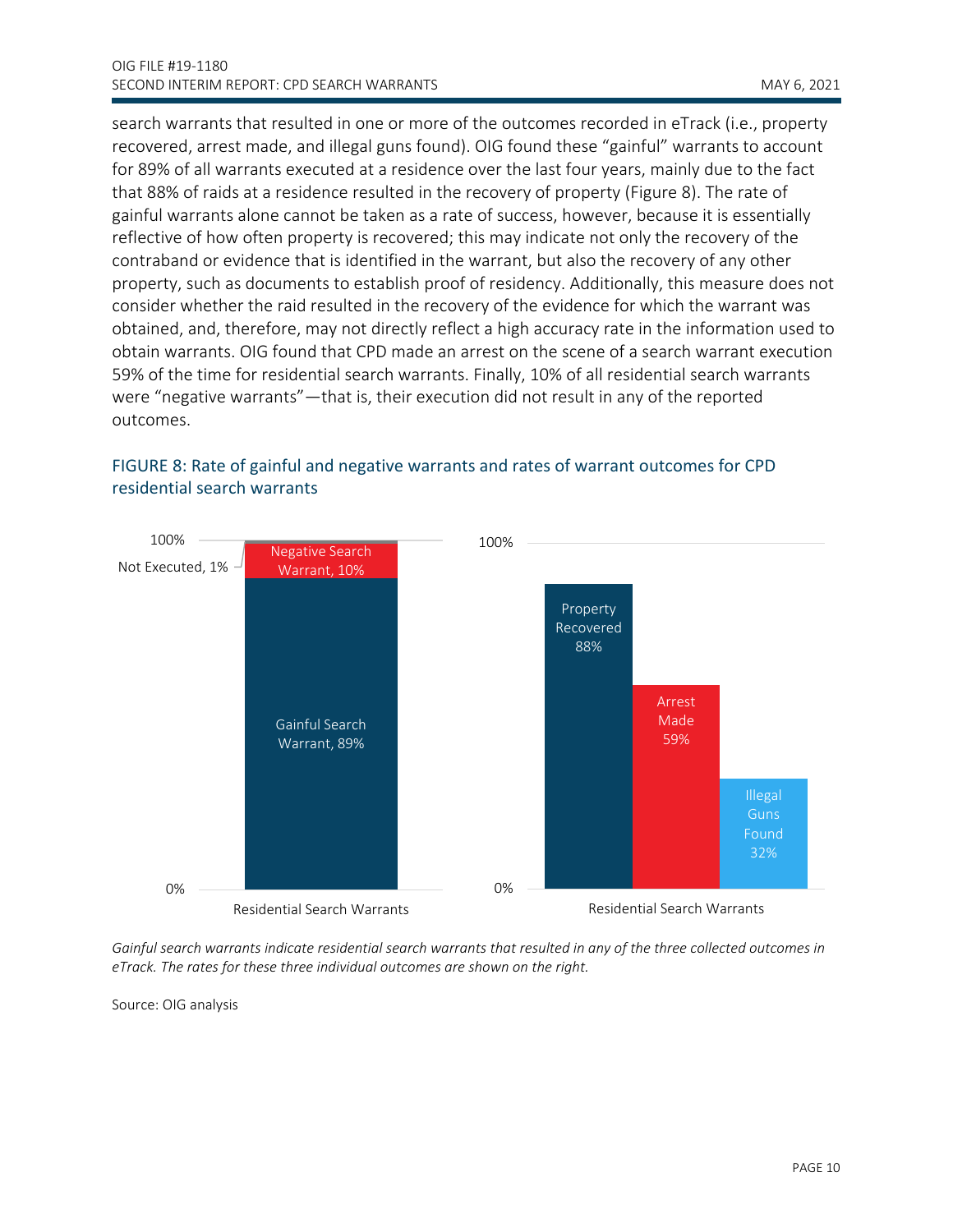search warrants that resulted in one or more of the outcomes recorded in eTrack (i.e., property recovered, arrest made, and illegal guns found). OIG found these "gainful" warrants to account for 89% of all warrants executed at a residence over the last four years, mainly due to the fact that 88% of raids at a residence resulted in the recovery of property (Figure 8). The rate of gainful warrants alone cannot be taken as a rate of success, however, because it is essentially reflective of how often property is recovered; this may indicate not only the recovery of the contraband or evidence that is identified in the warrant, but also the recovery of any other property, such as documents to establish proof of residency. Additionally, this measure does not consider whether the raid resulted in the recovery of the evidence for which the warrant was obtained, and, therefore, may not directly reflect a high accuracy rate in the information used to obtain warrants. OIG found that CPD made an arrest on the scene of a search warrant execution 59% of the time for residential search warrants. Finally, 10% of all residential search warrants were "negative warrants"—that is, their execution did not result in any of the reported outcomes.



#### FIGURE 8: Rate of gainful and negative warrants and rates of warrant outcomes for CPD residential search warrants

*Gainful search warrants indicate residential search warrants that resulted in any of the three collected outcomes in eTrack. The rates for these three individual outcomes are shown on the right.*

Source: OIG analysis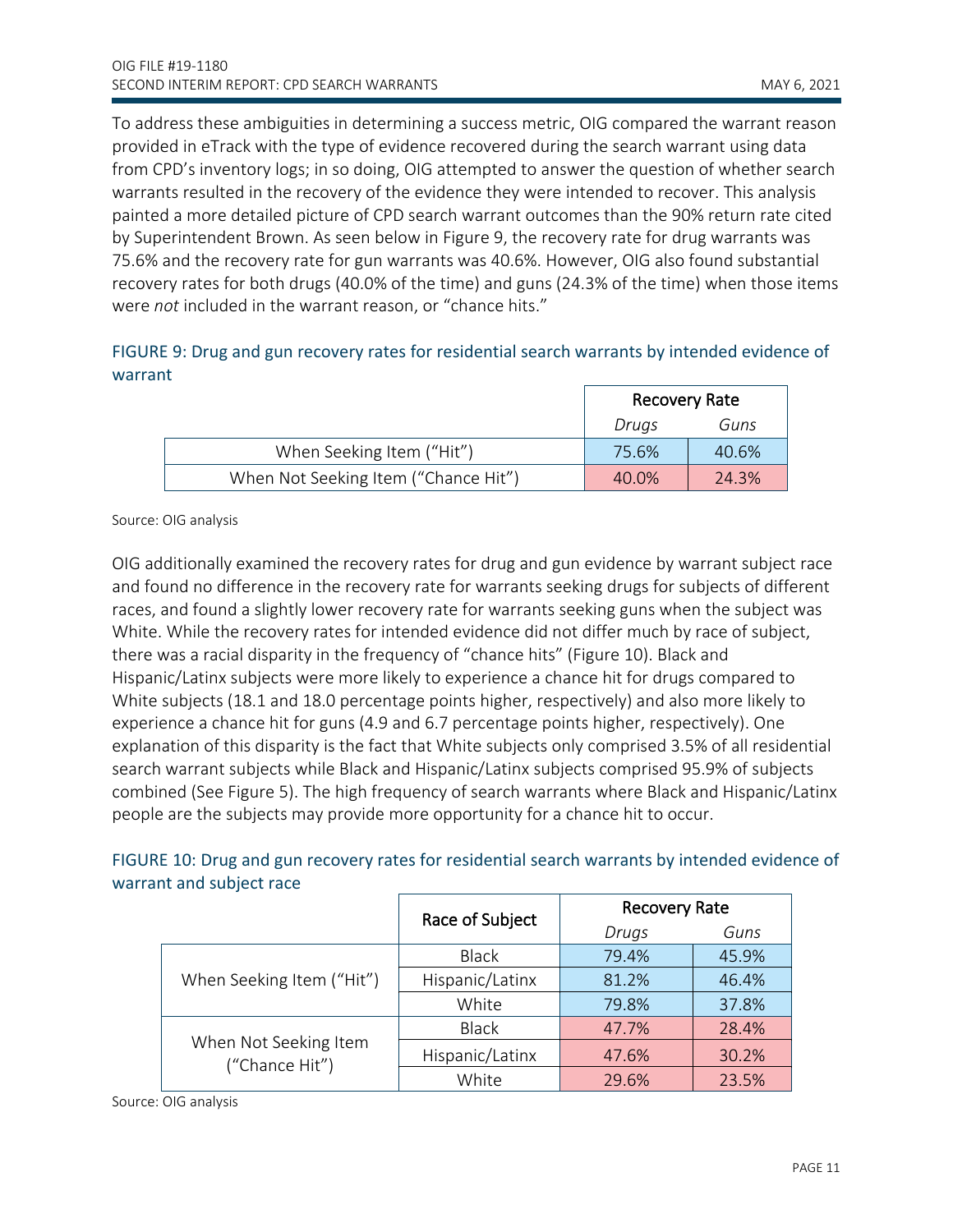To address these ambiguities in determining a success metric, OIG compared the warrant reason provided in eTrack with the type of evidence recovered during the search warrant using data from CPD's inventory logs; in so doing, OIG attempted to answer the question of whether search warrants resulted in the recovery of the evidence they were intended to recover. This analysis painted a more detailed picture of CPD search warrant outcomes than the 90% return rate cited by Superintendent Brown. As seen below in Figure 9, the recovery rate for drug warrants was 75.6% and the recovery rate for gun warrants was 40.6%. However, OIG also found substantial recovery rates for both drugs (40.0% of the time) and guns (24.3% of the time) when those items were *not* included in the warrant reason, or "chance hits."

#### FIGURE 9: Drug and gun recovery rates for residential search warrants by intended evidence of warrant

|                                      | <b>Recovery Rate</b> |       |
|--------------------------------------|----------------------|-------|
|                                      | Drugs                | Guns  |
| When Seeking Item ("Hit")            | 75.6%                | 40.6% |
| When Not Seeking Item ("Chance Hit") | 40.0%                | 24.3% |

Source: OIG analysis

OIG additionally examined the recovery rates for drug and gun evidence by warrant subject race and found no difference in the recovery rate for warrants seeking drugs for subjects of different races, and found a slightly lower recovery rate for warrants seeking guns when the subject was White. While the recovery rates for intended evidence did not differ much by race of subject, there was a racial disparity in the frequency of "chance hits" (Figure 10). Black and Hispanic/Latinx subjects were more likely to experience a chance hit for drugs compared to White subjects (18.1 and 18.0 percentage points higher, respectively) and also more likely to experience a chance hit for guns (4.9 and 6.7 percentage points higher, respectively). One explanation of this disparity is the fact that White subjects only comprised 3.5% of all residential search warrant subjects while Black and Hispanic/Latinx subjects comprised 95.9% of subjects combined (See Figure 5). The high frequency of search warrants where Black and Hispanic/Latinx people are the subjects may provide more opportunity for a chance hit to occur.

#### FIGURE 10: Drug and gun recovery rates for residential search warrants by intended evidence of warrant and subject race

|                                         | Race of Subject | <b>Recovery Rate</b> |       |
|-----------------------------------------|-----------------|----------------------|-------|
|                                         |                 | Drugs                | Guns  |
| When Seeking Item ("Hit")               | <b>Black</b>    | 79.4%                | 45.9% |
|                                         | Hispanic/Latinx | 81.2%                | 46.4% |
|                                         | White           | 79.8%                | 37.8% |
| When Not Seeking Item<br>("Chance Hit") | <b>Black</b>    | 47.7%                | 28.4% |
|                                         | Hispanic/Latinx | 47.6%                | 30.2% |
|                                         | White           | 29.6%                | 23.5% |

Source: OIG analysis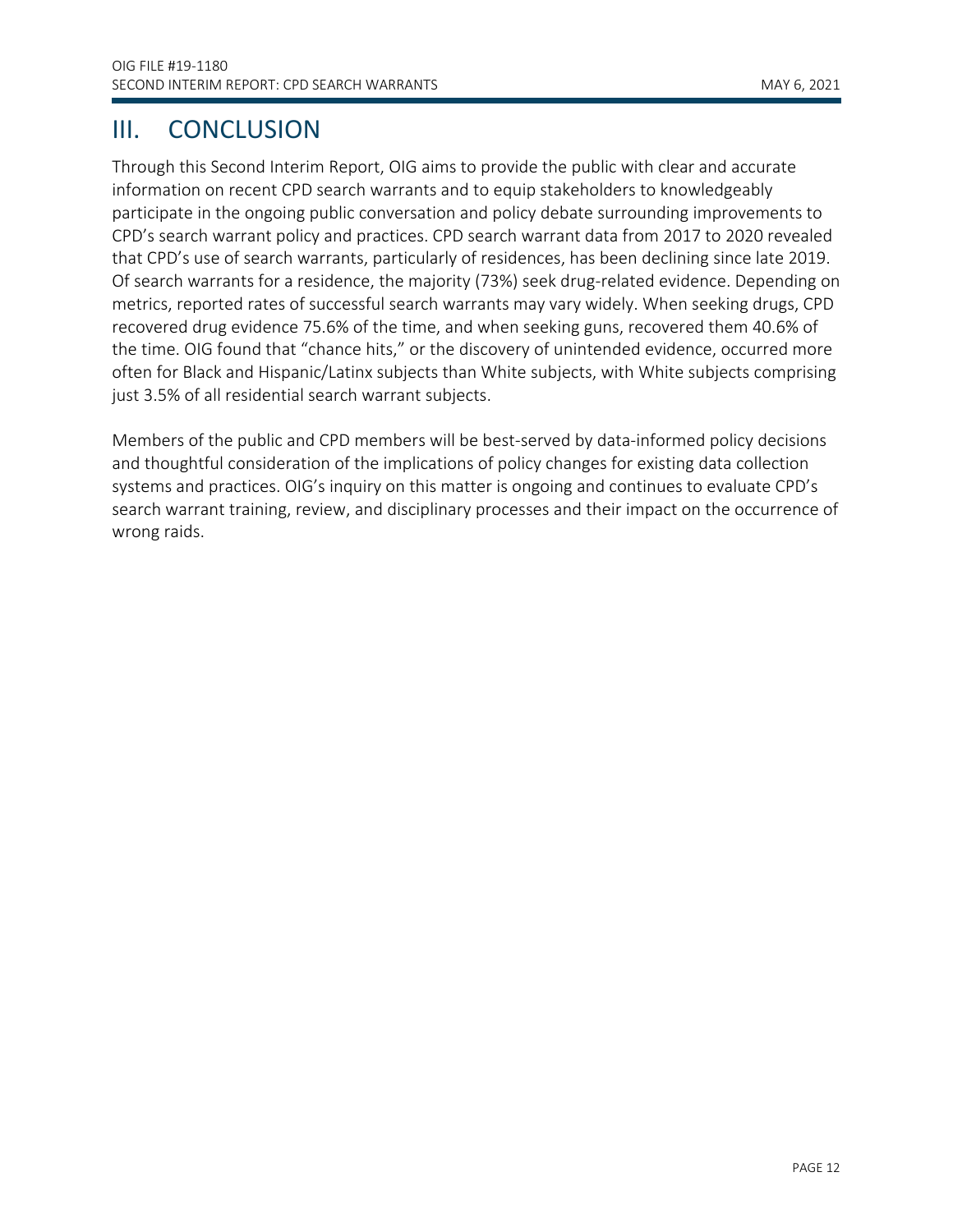## <span id="page-12-0"></span>III. CONCLUSION

Through this Second Interim Report, OIG aims to provide the public with clear and accurate information on recent CPD search warrants and to equip stakeholders to knowledgeably participate in the ongoing public conversation and policy debate surrounding improvements to CPD's search warrant policy and practices. CPD search warrant data from 2017 to 2020 revealed that CPD's use of search warrants, particularly of residences, has been declining since late 2019. Of search warrants for a residence, the majority (73%) seek drug-related evidence. Depending on metrics, reported rates of successful search warrants may vary widely. When seeking drugs, CPD recovered drug evidence 75.6% of the time, and when seeking guns, recovered them 40.6% of the time. OIG found that "chance hits," or the discovery of unintended evidence, occurred more often for Black and Hispanic/Latinx subjects than White subjects, with White subjects comprising just 3.5% of all residential search warrant subjects.

Members of the public and CPD members will be best-served by data-informed policy decisions and thoughtful consideration of the implications of policy changes for existing data collection systems and practices. OIG's inquiry on this matter is ongoing and continues to evaluate CPD's search warrant training, review, and disciplinary processes and their impact on the occurrence of wrong raids.